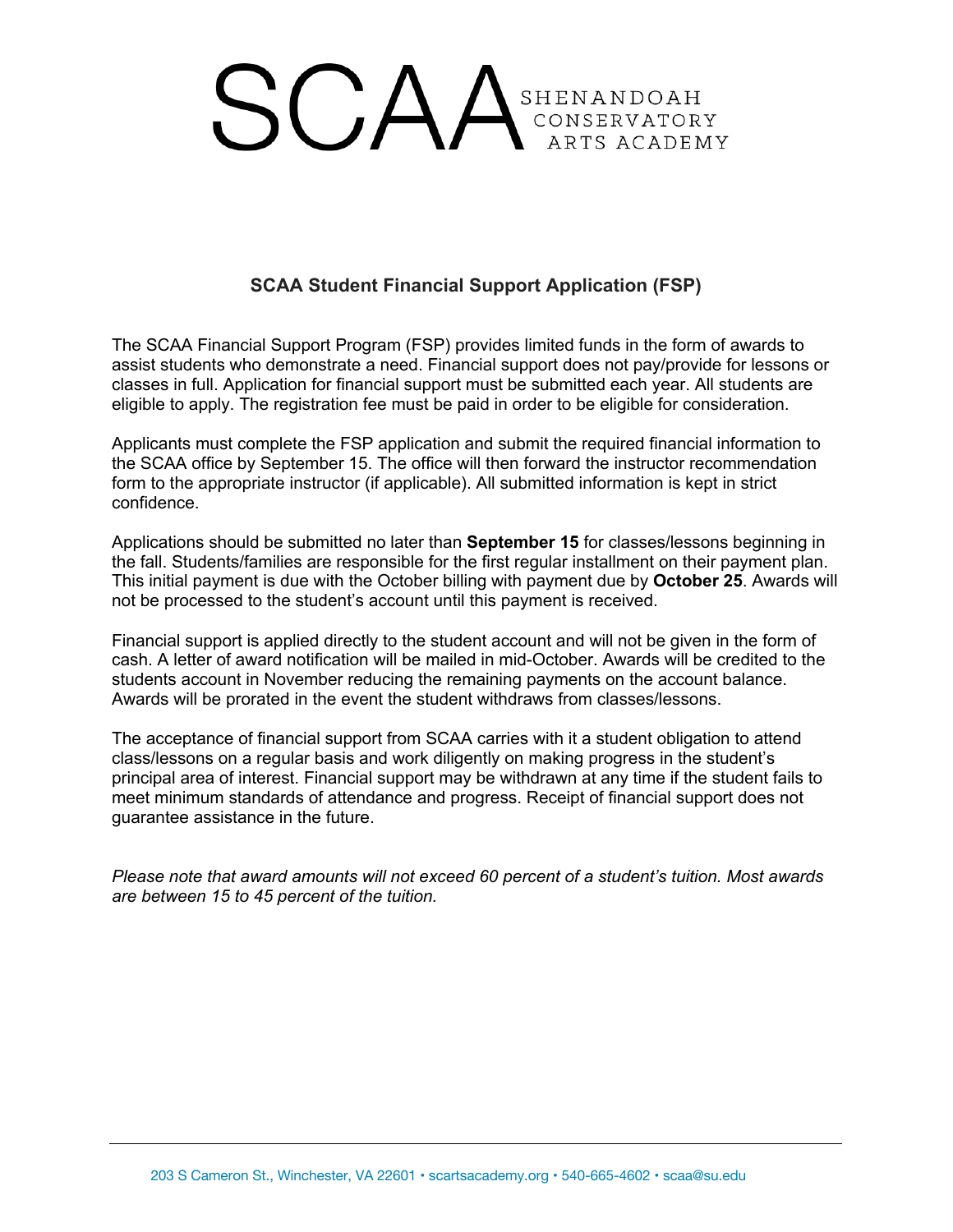# SCAA<sup>SHENANDOAH</sup> ARTS ACADEMY

## **SCAA Student Financial Support Application (FSP)**

The SCAA Financial Support Program (FSP) provides limited funds in the form of awards to assist students who demonstrate a need. Financial support does not pay/provide for lessons or classes in full. Application for financial support must be submitted each year. All students are eligible to apply. The registration fee must be paid in order to be eligible for consideration.

Applicants must complete the FSP application and submit the required financial information to the SCAA office by September 15. The office will then forward the instructor recommendation form to the appropriate instructor (if applicable). All submitted information is kept in strict confidence.

Applications should be submitted no later than **September 15** for classes/lessons beginning in the fall. Students/families are responsible for the first regular installment on their payment plan. This initial payment is due with the October billing with payment due by **October 25**. Awards will not be processed to the student's account until this payment is received.

Financial support is applied directly to the student account and will not be given in the form of cash. A letter of award notification will be mailed in mid-October. Awards will be credited to the students account in November reducing the remaining payments on the account balance. Awards will be prorated in the event the student withdraws from classes/lessons.

The acceptance of financial support from SCAA carries with it a student obligation to attend class/lessons on a regular basis and work diligently on making progress in the student's principal area of interest. Financial support may be withdrawn at any time if the student fails to meet minimum standards of attendance and progress. Receipt of financial support does not guarantee assistance in the future.

*Please note that award amounts will not exceed 60 percent of a student's tuition. Most awards are between 15 to 45 percent of the tuition.*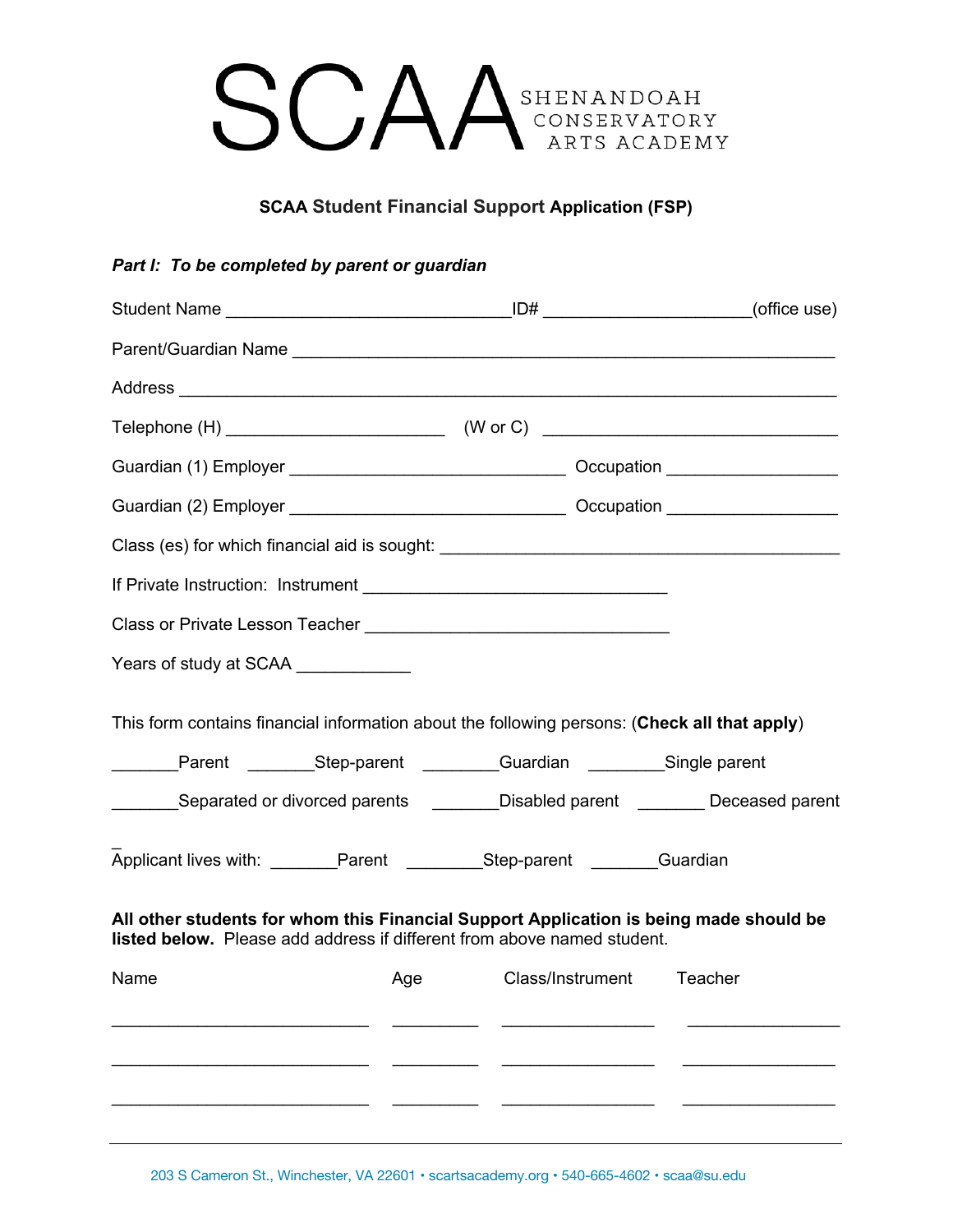

## **SCAA Student Financial Support Application (FSP)**

### *Part I: To be completed by parent or guardian*

| Class (es) for which financial aid is sought: ___________________________________                                                                                                                                                               |                          |  |
|-------------------------------------------------------------------------------------------------------------------------------------------------------------------------------------------------------------------------------------------------|--------------------------|--|
|                                                                                                                                                                                                                                                 |                          |  |
| Class or Private Lesson Teacher [1944] [1944] [1944] [1945] [1945] [1945] [1946] [1946] [1946] [1946] [1946] [                                                                                                                                  |                          |  |
| Years of study at SCAA _____________                                                                                                                                                                                                            |                          |  |
| This form contains financial information about the following persons: (Check all that apply)<br>Parent __________Step-parent ___________Guardian ____________Single parent                                                                      |                          |  |
| ________Separated or divorced parents _________Disabled parent _________Deceased parent                                                                                                                                                         |                          |  |
| Applicant lives with: _______Parent __________Step-parent ________Guardian<br>All other students for whom this Financial Support Application is being made should be<br>listed below. Please add address if different from above named student. |                          |  |
| Name<br>Age                                                                                                                                                                                                                                     | Class/Instrument Teacher |  |
|                                                                                                                                                                                                                                                 |                          |  |
|                                                                                                                                                                                                                                                 |                          |  |
|                                                                                                                                                                                                                                                 |                          |  |

203 S Cameron St., Winchester, VA 22601 • scartsacademy.org • 540-665-4602 • scaa@su.edu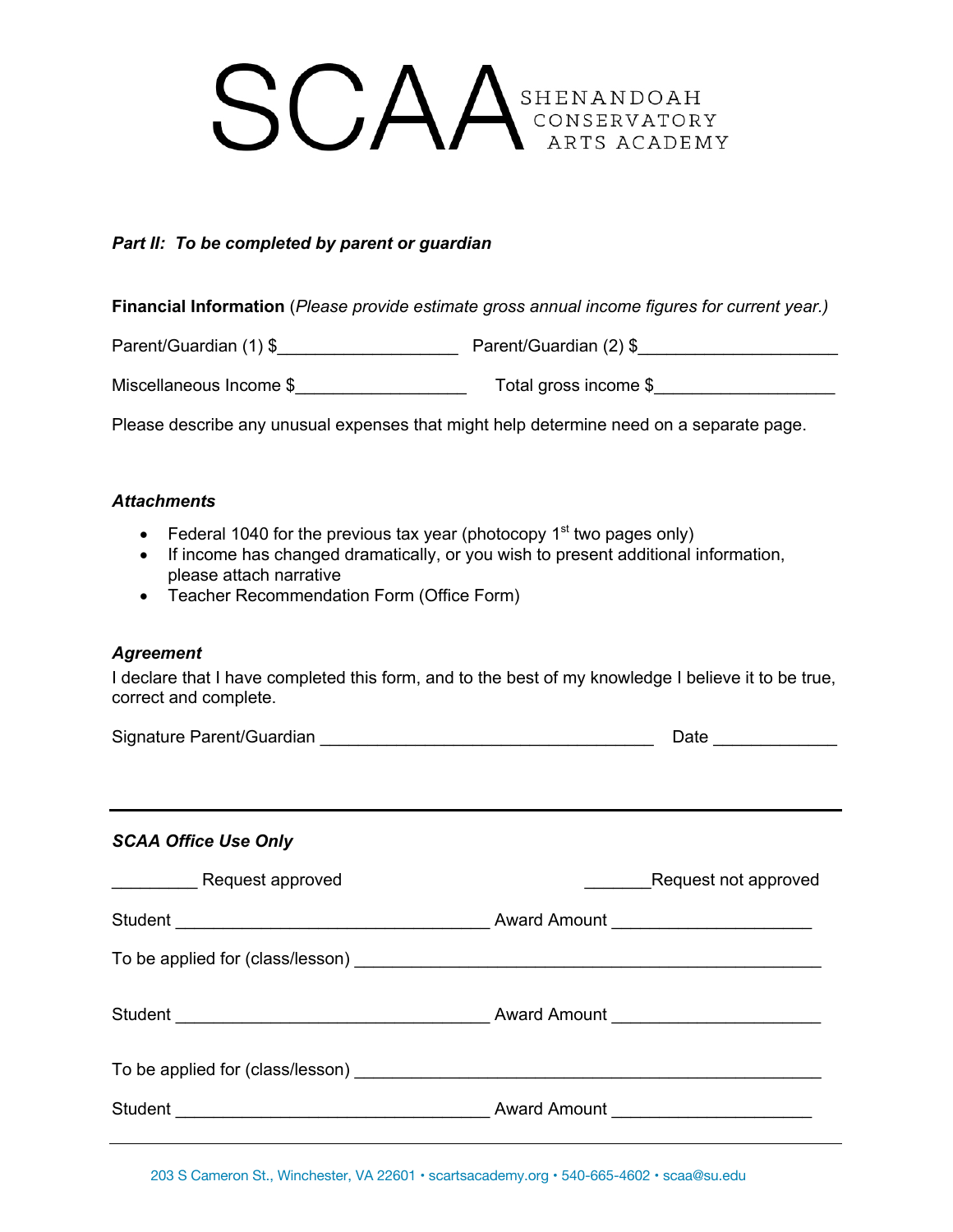# **SCAA**SHENANDOAH ARTS ACADEMY

#### *Part II: To be completed by parent or guardian*

**Financial Information** (*Please provide estimate gross annual income figures for current year.)*

Parent/Guardian (1) \$\_\_\_\_\_\_\_\_\_\_\_\_\_\_\_\_\_\_\_ Parent/Guardian (2) \$\_\_\_\_\_\_\_\_\_\_\_\_\_\_\_\_\_\_\_\_\_

Miscellaneous Income \$\_\_\_\_\_\_\_\_\_\_\_\_\_\_\_\_\_\_ Total gross income \$\_\_\_\_\_\_\_\_\_\_\_\_\_\_\_\_\_\_\_

Please describe any unusual expenses that might help determine need on a separate page.

#### *Attachments*

- Federal 1040 for the previous tax year (photocopy  $1<sup>st</sup>$  two pages only)
- If income has changed dramatically, or you wish to present additional information, please attach narrative
- Teacher Recommendation Form (Office Form)

#### *Agreement*

I declare that I have completed this form, and to the best of my knowledge I believe it to be true, correct and complete.

|                             | Date                 |
|-----------------------------|----------------------|
| <b>SCAA Office Use Only</b> |                      |
| Request approved            | Request not approved |
|                             |                      |
|                             |                      |
|                             |                      |
|                             |                      |
|                             |                      |